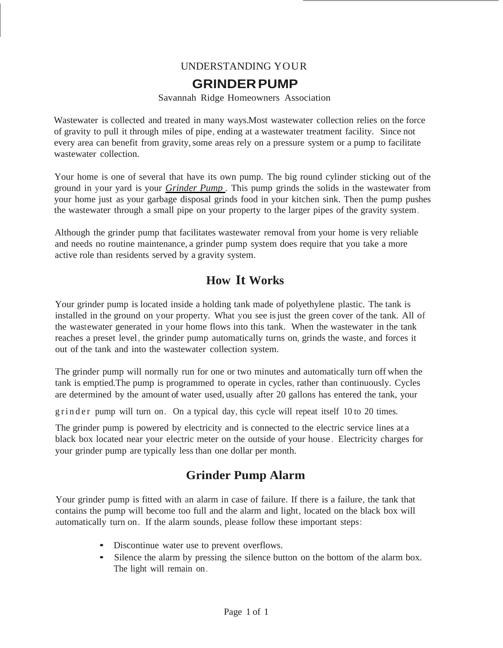#### UNDERSTANDING YOUR

#### **GRINDERPUMP**

#### Savannah Ridge Homeowners Association

Wastewater is collected and treated in many ways. Most wastewater collection relies on the force of gravity to pull it through miles of pipe, ending at a wastewater treatment facility. Since not every area can benefit from gravity, some areas rely on a pressure system or a pump to facilitate wastewater collection.

Your home is one of several that have its own pump. The big round cylinder sticking out of the ground in your yard is your *Grinder Pump .* This pump grinds the solids in the wastewater from your home just as your garbage disposal grinds food in your kitchen sink. Then the pump pushes the wastewater through a small pipe on your property to the larger pipes of the gravity system.

Although the grinder pump that facilitates wastewater removal from your home is very reliable and needs no routine maintenance, a grinder pump system does require that you take a more active role than residents served by a gravity system.

## **How It Works**

Your grinder pump is located inside a holding tank made of polyethylene plastic. The tank is installed in the ground on your property. What you see isjust the green cover of the tank. All of the wastewater generated in your home flows into this tank. When the wastewater in the tank reaches a preset level, the grinder pump automatically turns on, grinds the waste, and forces it out of the tank and into the wastewater collection system.

The grinder pump will normally run for one or two minutes and automatically turn off when the tank is emptied. The pump is programmed to operate in cycles, rather than continuously. Cycles are determined by the amount of water used, usually after 20 gallons has entered the tank, your

g r in d e r pump will turn on. On a typical day, this cycle will repeat itself 10 to 20 times.

The grinder pump is powered by electricity and is connected to the electric service lines at a black box located near your electric meter on the outside of your house . Electricity charges for your grinder pump are typically less than one dollar per month.

## **Grinder Pump Alarm**

Your grinder pump is fitted with an alarm in case of failure. If there is a failure, the tank that contains the pump will become too full and the alarm and light, located on the black box will automatically turn on. If the alarm sounds, please follow these important steps:

- Discontinue water use to prevent overflows.
- Silence the alarm by pressing the silence button on the bottom of the alarm box. The light will remain on.